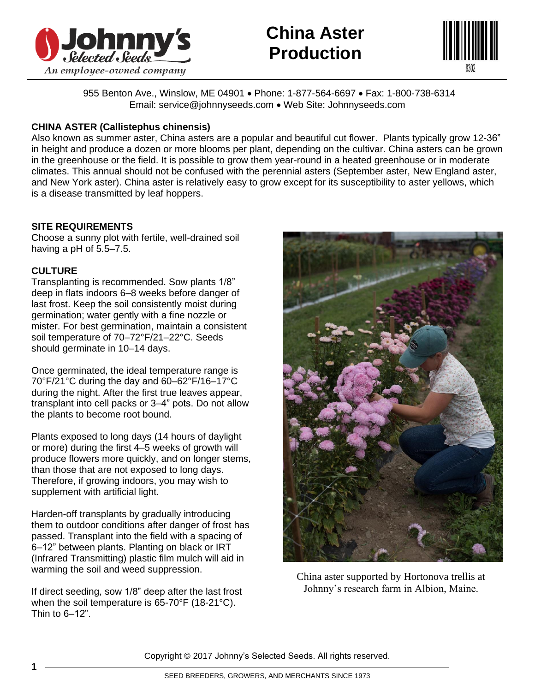

# **China Aster Production**



955 Benton Ave., Winslow, ME 04901 • Phone: 1-877-564-6697 • Fax: 1-800-738-6314 Email: service@johnnyseeds.com • Web Site: Johnnyseeds.com

## **CHINA ASTER (Callistephus chinensis)**

Also known as summer aster, China asters are a popular and beautiful cut flower. Plants typically grow 12-36" in height and produce a dozen or more blooms per plant, depending on the cultivar. China asters can be grown in the greenhouse or the field. It is possible to grow them year-round in a heated greenhouse or in moderate climates. This annual should not be confused with the perennial asters (September aster, New England aster, and New York aster). China aster is relatively easy to grow except for its susceptibility to aster yellows, which is a disease transmitted by leaf hoppers.

# **SITE REQUIREMENTS**

Choose a sunny plot with fertile, well-drained soil having a pH of 5.5–7.5.

### **CULTURE**

Transplanting is recommended. Sow plants 1/8" deep in flats indoors 6–8 weeks before danger of last frost. Keep the soil consistently moist during germination; water gently with a fine nozzle or mister. For best germination, maintain a consistent soil temperature of 70–72°F/21–22°C. Seeds should germinate in 10–14 days.

Once germinated, the ideal temperature range is 70°F/21°C during the day and 60–62°F/16–17°C during the night. After the first true leaves appear, transplant into cell packs or 3–4" pots. Do not allow the plants to become root bound.

Plants exposed to long days (14 hours of daylight or more) during the first 4–5 weeks of growth will produce flowers more quickly, and on longer stems, than those that are not exposed to long days. Therefore, if growing indoors, you may wish to supplement with artificial light.

Harden-off transplants by gradually introducing them to outdoor conditions after danger of frost has passed. Transplant into the field with a spacing of 6–12" between plants. Planting on black or IRT (Infrared Transmitting) plastic film mulch will aid in warming the soil and weed suppression.

If direct seeding, sow 1/8" deep after the last frost when the soil temperature is 65-70°F (18-21°C). Thin to 6–12".



China aster supported by Hortonova trellis at Johnny's research farm in Albion, Maine.

Copyright © 2017 Johnny's Selected Seeds. All rights reserved.